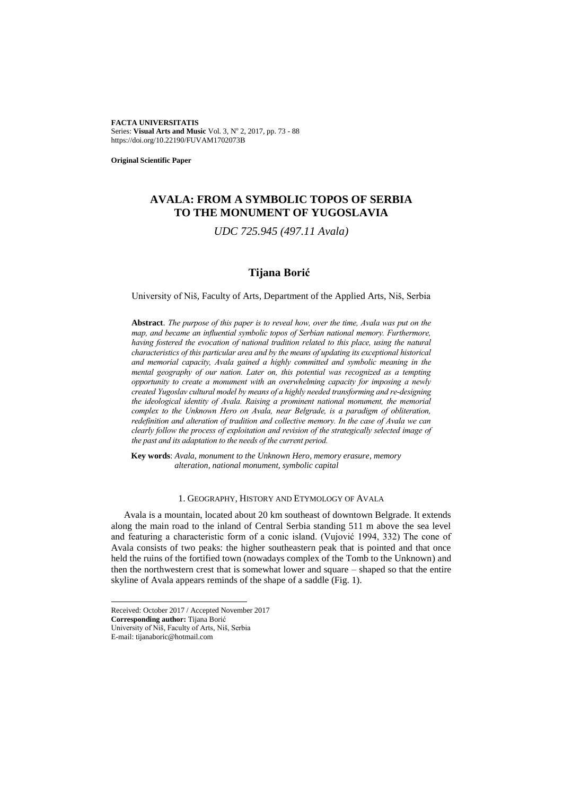**FACTA UNIVERSITATIS** Series: Visual Arts and Music Vol. 3, Nº 2, 2017, pp. 73 - 88 https://doi.org/10.22190/FUVAM1702073B

**Original Scientific Paper**

# **AVALA: FROM A SYMBOLIC TOPOS OF SERBIA TO THE MONUMENT OF YUGOSLAVIA**

*UDC 725.945 (497.11 Avala)*

## **Tijana Borić<sup>1</sup>**

University of Niš, Faculty of Arts, Department of the Applied Arts, Niš, Serbia

**Abstract**. *The purpose of this paper is to reveal how, over the time, Avala was put on the map, and became an influential symbolic topos of Serbian national memory. Furthermore, having fostered the evocation of national tradition related to this place, using the natural characteristics of this particular area and by the means of updating its exceptional historical and memorial capacity, Avala gained a highly committed and symbolic meaning in the mental geography of our nation. Later on, this potential was recognized as a tempting opportunity to create a monument with an overwhelming capacity for imposing a newly created Yugoslav cultural model by means of a highly needed transforming and re-designing the ideological identity of Avala. Raising a prominent national monument, the memorial complex to the Unknown Hero on Avala, near Belgrade, is a paradigm of obliteration, redefinition and alteration of tradition and collective memory. In the case of Avala we can clearly follow the process of exploitation and revision of the strategically selected image of the past and its adaptation to the needs of the current period.*

**Key words**: *Avala, monument to the Unknown Hero, memory erasure, memory alteration, national monument, symbolic capital*

## 1. GEOGRAPHY, HISTORY AND ETYMOLOGY OF AVALA

Avala is a mountain, located about 20 km southeast of downtown Belgrade. It extends along the main road to the inland of Central Serbia standing 511 m above the sea level and featuring a characteristic form of a conic island. (Vujović 1994, 332) The cone of Avala consists of two peaks: the higher southeastern peak that is pointed and that once held the ruins of the fortified town (nowadays complex of the Tomb to the Unknown) and then the northwestern crest that is somewhat lower and square – shaped so that the entire skyline of Avala appears reminds of the shape of a saddle (Fig. 1).

l

Received: October 2017 / Accepted November 2017 **Corresponding author:** Tijana Borić University of Niš, Faculty of Arts, Niš, Serbia E-mail: tijanaboric@hotmail.com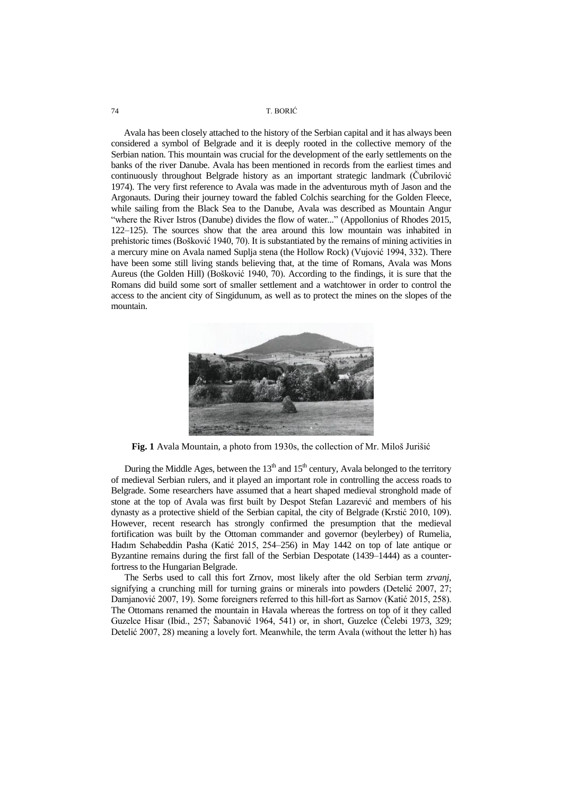Avala has been closely attached to the history of the Serbian capital and it has always been considered a symbol of Belgrade and it is deeply rooted in the collective memory of the Serbian nation. This mountain was crucial for the development of the early settlements on the banks of the river Danube. Avala has been mentioned in records from the earliest times and continuously throughout Belgrade history as an important strategic landmark (Ĉubrilović 1974). The very first reference to Avala was made in the adventurous myth of Jason and the Argonauts. During their journey toward the fabled Colchis searching for the Golden Fleece, while sailing from the Black Sea to the Danube, Avala was described as Mountain Angur "where the River Istros (Danube) divides the flow of water*...*" (Appollonius of Rhodes 2015, 122–125). The sources show that the area around this low mountain was inhabited in prehistoric times (Bošković 1940, 70). It is substantiated by the remains of mining activities in a mercury mine on Avala named Suplja stena (the Hollow Rock) (Vujović 1994, 332). There have been some still living stands believing that, at the time of Romans, Avala was Mons Aureus (the Golden Hill) (Bošković 1940, 70). According to the findings, it is sure that the Romans did build some sort of smaller settlement and a watchtower in order to control the access to the ancient city of Singidunum, as well as to protect the mines on the slopes of the mountain.



**Fig. 1** Avala Mountain, a photo from 1930s, the collection of Mr. Miloš Jurišić

During the Middle Ages, between the  $13<sup>th</sup>$  and  $15<sup>th</sup>$  century, Avala belonged to the territory of medieval Serbian rulers, and it played an important role in controlling the access roads to Belgrade. Some researchers have assumed that a heart shaped medieval stronghold made of stone at the top of Avala was first built by Despot Stefan Lazarević and members of his dynasty as a protective shield of the Serbian capital, the city of Belgrade (Krstić 2010, 109). However, recent research has strongly confirmed the presumption that the medieval fortification was built by the Ottoman commander and governor (beylerbey) of Rumelia, Hadım Sehabeddin Pasha (Katić 2015, 254–256) in May 1442 on top of late antique or Byzantine remains during the first fall of the Serbian Despotate (1439–1444) as a counterfortress to the Hungarian Belgrade.

The Serbs used to call this fort Zrnov, most likely after the old Serbian term *zrvanj*, signifying a crunching mill for turning grains or minerals into powders (Detelić 2007, 27; Damjanović 2007, 19). Some foreigners referred to this hill-fort as Sarnov (Katić 2015, 258). The Ottomans renamed the mountain in Havala whereas the fortress on top of it they called Guzelce Hisar (Ibid., 257; Šabanović 1964, 541) or, in short, Guzelce (Ĉelebi 1973, 329; Detelić 2007, 28) meaning a lovely fort. Meanwhile, the term Avala (without the letter h) has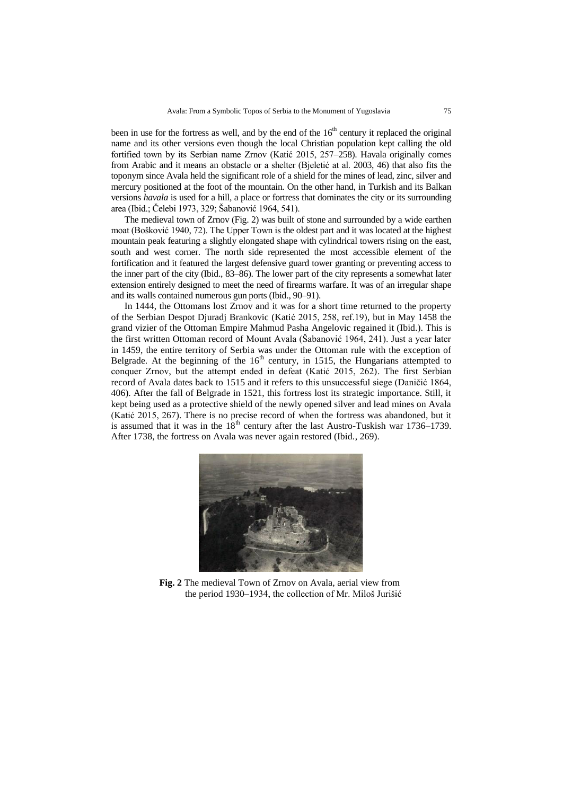been in use for the fortress as well, and by the end of the  $16<sup>th</sup>$  century it replaced the original name and its other versions even though the local Christian population kept calling the old fortified town by its Serbian name Zrnov (Katić 2015, 257–258). Havala originally comes from Arabic and it means an obstacle or a shelter (Bjeletić at al. 2003, 46) that also fits the toponym since Avala held the significant role of a shield for the mines of lead, zinc, silver and mercury positioned at the foot of the mountain. On the other hand, in Turkish and its Balkan versions *havala* is used for a hill, a place or fortress that dominates the city or its surrounding area (Ibid.; Ĉelebi 1973, 329; Šabanović 1964, 541).

The medieval town of Zrnov (Fig. 2) was built of stone and surrounded by a wide earthen moat (Bošković 1940, 72). The Upper Town is the oldest part and it was located at the highest mountain peak featuring a slightly elongated shape with cylindrical towers rising on the east, south and west corner. The north side represented the most accessible element of the fortification and it featured the largest defensive guard tower granting or preventing access to the inner part of the city (Ibid., 83–86). The lower part of the city represents a somewhat later extension entirely designed to meet the need of firearms warfare. It was of an irregular shape and its walls contained numerous gun ports (Ibid., 90–91).

In 1444, the Ottomans lost Zrnov and it was for a short time returned to the property of the Serbian Despot Djuradj Brankovic (Katić 2015, 258, ref.19), but in May 1458 the grand vizier of the Ottoman Empire Mahmud Pasha Angelovic regained it (Ibid.). This is the first written Ottoman record of Mount Avala (Šabanović 1964, 241). Just a year later in 1459, the entire territory of Serbia was under the Ottoman rule with the exception of Belgrade. At the beginning of the  $16<sup>th</sup>$  century, in 1515, the Hungarians attempted to conquer Zrnov, but the attempt ended in defeat (Katić 2015, 262). The first Serbian record of Avala dates back to 1515 and it refers to this unsuccessful siege (Daniĉić 1864, 406). After the fall of Belgrade in 1521, this fortress lost its strategic importance. Still, it kept being used as a protective shield of the newly opened silver and lead mines on Avala (Katić 2015, 267). There is no precise record of when the fortress was abandoned, but it is assumed that it was in the  $18<sup>th</sup>$  century after the last Austro-Tuskish war 1736–1739. After 1738, the fortress on Avala was never again restored (Ibid., 269).



**Fig. 2** The medieval Town of Zrnov on Avala, aerial view from the period 1930–1934, the collection of Mr. Miloš Jurišić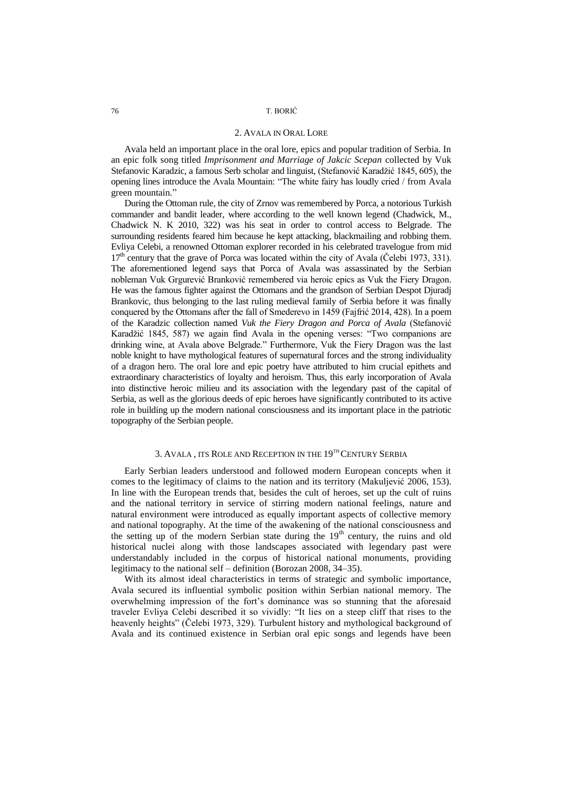#### 2. AVALA IN ORAL LORE

Avala held an important place in the oral lore, epics and popular tradition of Serbia. In an epic folk song titled *Imprisonment and Marriage of Jakcic Scepan* collected by Vuk Stefanovic Karadzic, a famous Serb scholar and linguist, (Stefanović Karadžić 1845, 605), the opening lines introduce the Avala Mountain: "The white fairy has loudly cried / from Avala green mountain*.*"

During the Ottoman rule, the city of Zrnov was remembered by Porca, a notorious Turkish commander and bandit leader, where according to the well known legend (Chadwick, M., Chadwick N. K 2010, 322) was his seat in order to control access to Belgrade. The surrounding residents feared him because he kept attacking, blackmailing and robbing them. Evliya Celebi, a renowned Ottoman explorer recorded in his celebrated travelogue from mid  $17<sup>th</sup>$  century that the grave of Porca was located within the city of Avala (Čelebi 1973, 331). The aforementioned legend says that Porca of Avala was assassinated by the Serbian nobleman Vuk Grgurević Branković remembered via heroic epics as Vuk the Fiery Dragon. He was the famous fighter against the Ottomans and the grandson of Serbian Despot Djuradj Brankovic, thus belonging to the last ruling medieval family of Serbia before it was finally conquered by the Ottomans after the fall of Smederevo in 1459 (Fajfrić 2014, 428). In a poem of the Karadzic collection named *Vuk the Fiery Dragon and Porca of Avala* (Stefanović Karadžić 1845, 587) we again find Avala in the opening verses: "Two companions are drinking wine, at Avala above Belgrade." Furthermore, Vuk the Fiery Dragon was the last noble knight to have mythological features of supernatural forces and the strong individuality of a dragon hero. The oral lore and epic poetry have attributed to him crucial epithets and extraordinary characteristics of loyalty and heroism. Thus, this early incorporation of Avala into distinctive heroic milieu and its association with the legendary past of the capital of Serbia, as well as the glorious deeds of epic heroes have significantly contributed to its active role in building up the modern national consciousness and its important place in the patriotic topography of the Serbian people.

## 3. AVALA , ITS ROLE AND RECEPTION IN THE 19TH CENTURY SERBIA

Early Serbian leaders understood and followed modern European concepts when it comes to the legitimacy of claims to the nation and its territory (Makuljević 2006, 153). In line with the European trends that, besides the cult of heroes, set up the cult of ruins and the national territory in service of stirring modern national feelings, nature and natural environment were introduced as equally important aspects of collective memory and national topography. At the time of the awakening of the national consciousness and the setting up of the modern Serbian state during the  $19<sup>th</sup>$  century, the ruins and old historical nuclei along with those landscapes associated with legendary past were understandably included in the corpus of historical national monuments, providing legitimacy to the national self – definition (Borozan 2008, 34–35).

With its almost ideal characteristics in terms of strategic and symbolic importance, Avala secured its influential symbolic position within Serbian national memory. The overwhelming impression of the fort"s dominance was so stunning that the aforesaid traveler Evliya Celebi described it so vividly: "It lies on a steep cliff that rises to the heavenly heights" (Ĉelebi 1973, 329). Turbulent history and mythological background of Avala and its continued existence in Serbian oral epic songs and legends have been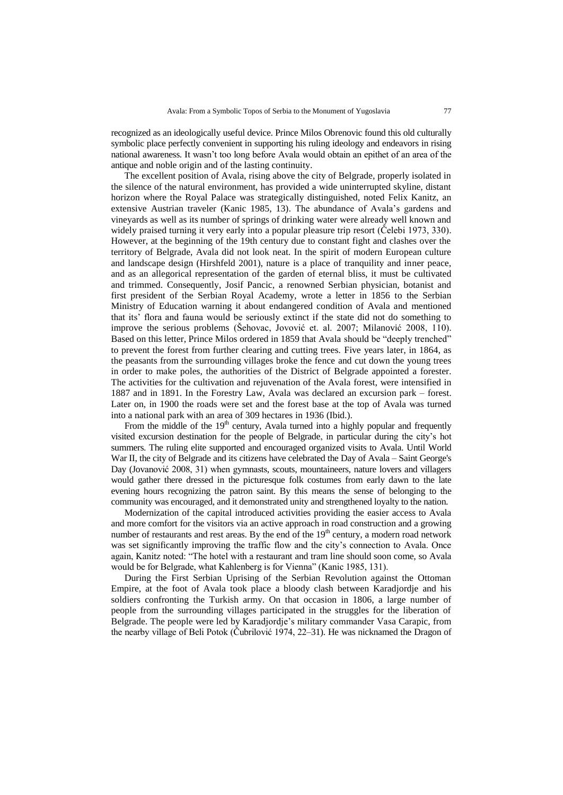recognized as an ideologically useful device. Prince Milos Obrenovic found this old culturally symbolic place perfectly convenient in supporting his ruling ideology and endeavors in rising national awareness. It wasn"t too long before Avala would obtain an epithet of an area of the antique and noble origin and of the lasting continuity.

The excellent position of Avala, rising above the city of Belgrade, properly isolated in the silence of the natural environment, has provided a wide uninterrupted skyline, distant horizon where the Royal Palace was strategically distinguished, noted Felix Kanitz, an extensive Austrian traveler (Kanic 1985, 13). The abundance of Avala"s gardens and vineyards as well as its number of springs of drinking water were already well known and widely praised turning it very early into a popular pleasure trip resort (Ĉelebi 1973, 330). However, at the beginning of the 19th century due to constant fight and clashes over the territory of Belgrade, Avala did not look neat. In the spirit of modern European culture and landscape design (Hirshfeld 2001), nature is a place of tranquility and inner peace, and as an allegorical representation of the garden of eternal bliss, it must be cultivated and trimmed. Consequently, Josif Pancic, a renowned Serbian physician, botanist and first president of the Serbian Royal Academy, wrote a letter in 1856 to the Serbian Ministry of Education warning it about endangered condition of Avala and mentioned that its" flora and fauna would be seriously extinct if the state did not do something to improve the serious problems (Šehovac, Jovović et. al. 2007; Milanović 2008, 110). Based on this letter, Prince Milos ordered in 1859 that Avala should be "deeply trenched" to prevent the forest from further clearing and cutting trees. Five years later, in 1864, as the peasants from the surrounding villages broke the fence and cut down the young trees in order to make poles, the authorities of the District of Belgrade appointed a forester. The activities for the cultivation and rejuvenation of the Avala forest, were intensified in 1887 and in 1891. In the Forestry Law, Avala was declared an excursion park – forest. Later on, in 1900 the roads were set and the forest base at the top of Avala was turned into a national park with an area of 309 hectares in 1936 (Ibid.).

From the middle of the  $19<sup>th</sup>$  century, Avala turned into a highly popular and frequently visited excursion destination for the people of Belgrade, in particular during the city"s hot summers. The ruling elite supported and encouraged organized visits to Avala. Until World War II, the city of Belgrade and its citizens have celebrated the Day of Avala – Saint George's Day (Jovanović 2008, 31) when gymnasts, scouts, mountaineers, nature lovers and villagers would gather there dressed in the picturesque folk costumes from early dawn to the late evening hours recognizing the patron saint. By this means the sense of belonging to the community was encouraged, and it demonstrated unity and strengthened loyalty to the nation.

Modernization of the capital introduced activities providing the easier access to Avala and more comfort for the visitors via an active approach in road construction and a growing number of restaurants and rest areas. By the end of the  $19<sup>th</sup>$  century, a modern road network was set significantly improving the traffic flow and the city"s connection to Avala. Once again, Kanitz noted: "The hotel with a restaurant and tram line should soon come, so Avala would be for Belgrade, what Kahlenberg is for Vienna" (Kanic 1985, 131).

During the First Serbian Uprising of the Serbian Revolution against the Ottoman Empire, at the foot of Avala took place a bloody clash between Karadjordje and his soldiers confronting the Turkish army. On that occasion in 1806, a large number of people from the surrounding villages participated in the struggles for the liberation of Belgrade. The people were led by Karadjordje"s military commander Vasa Carapic, from the nearby village of Beli Potok (Ĉubrilović 1974, 22–31). He was nicknamed the Dragon of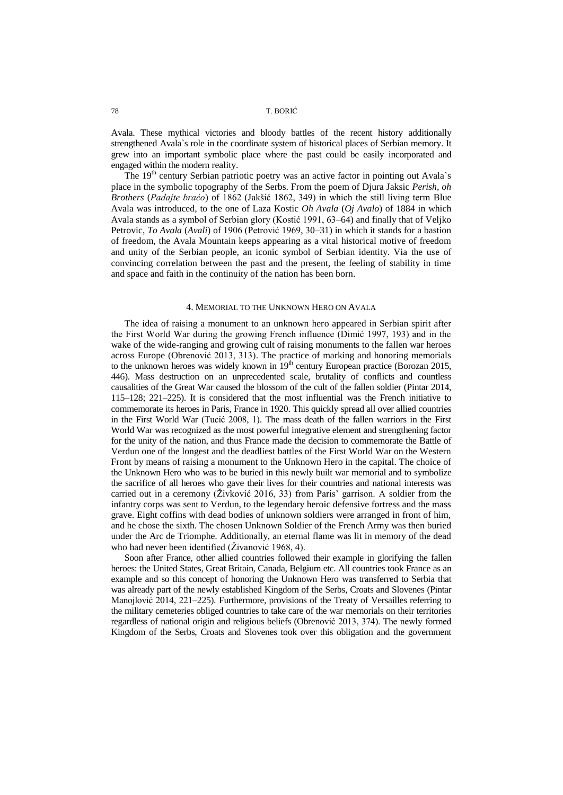Avala. These mythical victories and bloody battles of the recent history additionally strengthened Avala`s role in the coordinate system of historical places of Serbian memory. It grew into an important symbolic place where the past could be easily incorporated and engaged within the modern reality.

The  $19<sup>th</sup>$  century Serbian patriotic poetry was an active factor in pointing out Avala's place in the symbolic topography of the Serbs. From the poem of Djura Jaksic *Perish, oh Brothers* (*Padajte braćo*) of 1862 (Jakšić 1862, 349) in which the still living term Blue Avala was introduced, to the one of Laza Kostic *Oh Avala* (*Oj Avalo*) of 1884 in which Avala stands as a symbol of Serbian glory (Kostić 1991, 63–64) and finally that of Veljko Petrovic, *To Avala* (*Avali*) of 1906 (Petrović 1969, 30–31) in which it stands for a bastion of freedom, the Avala Mountain keeps appearing as a vital historical motive of freedom and unity of the Serbian people, an iconic symbol of Serbian identity. Via the use of convincing correlation between the past and the present, the feeling of stability in time and space and faith in the continuity of the nation has been born.

## 4. MEMORIAL TO THE UNKNOWN HERO ON AVALA

The idea of raising a monument to an unknown hero appeared in Serbian spirit after the First World War during the growing French influence (Dimić 1997, 193) and in the wake of the wide-ranging and growing cult of raising monuments to the fallen war heroes across Europe (Obrenović 2013, 313). The practice of marking and honoring memorials to the unknown heroes was widely known in  $19<sup>th</sup>$  century European practice (Borozan 2015, 446). Mass destruction on an unprecedented scale, brutality of conflicts and countless causalities of the Great War caused the blossom of the cult of the fallen soldier (Pintar 2014, 115–128; 221–225). It is considered that the most influential was the French initiative to commemorate its heroes in Paris, France in 1920. This quickly spread all over allied countries in the First World War (Tucić 2008, 1). The mass death of the fallen warriors in the First World War was recognized as the most powerful integrative element and strengthening factor for the unity of the nation, and thus France made the decision to commemorate the Battle of Verdun one of the longest and the deadliest battles of the First World War on the Western Front by means of raising a monument to the Unknown Hero in the capital. The choice of the Unknown Hero who was to be buried in this newly built war memorial and to symbolize the sacrifice of all heroes who gave their lives for their countries and national interests was carried out in a ceremony ( $\zeta$ ivković 2016, 33) from Paris' garrison. A soldier from the infantry corps was sent to Verdun, to the legendary heroic defensive fortress and the mass grave. Eight coffins with dead bodies of unknown soldiers were arranged in front of him, and he chose the sixth. The chosen Unknown Soldier of the French Army was then buried under the Arc de Triomphe. Additionally, an eternal flame was lit in memory of the dead who had never been identified (Živanović 1968, 4).

Soon after France, other allied countries followed their example in glorifying the fallen heroes: the United States, Great Britain, Canada, Belgium etc. All countries took France as an example and so this concept of honoring the Unknown Hero was transferred to Serbia that was already part of the newly established Kingdom of the Serbs, Croats and Slovenes (Pintar Manojlović 2014, 221–225). Furthermore, provisions of the Treaty of Versailles referring to the military cemeteries obliged countries to take care of the war memorials on their territories regardless of national origin and religious beliefs (Obrenović 2013, 374). The newly formed Kingdom of the Serbs, Croats and Slovenes took over this obligation and the government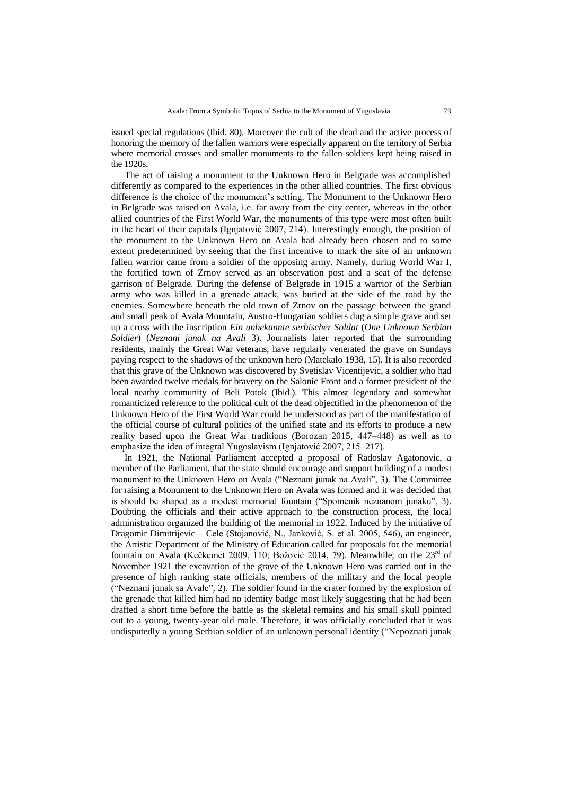issued special regulations (Ibid. 80). Moreover the cult of the dead and the active process of honoring the memory of the fallen warriors were especially apparent on the territory of Serbia where memorial crosses and smaller monuments to the fallen soldiers kept being raised in the 1920s.

The act of raising a monument to the Unknown Hero in Belgrade was accomplished differently as compared to the experiences in the other allied countries. The first obvious difference is the choice of the monument"s setting. The Monument to the Unknown Hero in Belgrade was raised on Avala, i.e. far away from the city center, whereas in the other allied countries of the First World War, the monuments of this type were most often built in the heart of their capitals (Ignjatović 2007, 214). Interestingly enough, the position of the monument to the Unknown Hero on Avala had already been chosen and to some extent predetermined by seeing that the first incentive to mark the site of an unknown fallen warrior came from a soldier of the opposing army. Namely, during World War I, the fortified town of Zrnov served as an observation post and a seat of the defense garrison of Belgrade. During the defense of Belgrade in 1915 a warrior of the Serbian army who was killed in a grenade attack, was buried at the side of the road by the enemies. Somewhere beneath the old town of Zrnov on the passage between the grand and small peak of Avala Mountain, Austro-Hungarian soldiers dug a simple grave and set up a cross with the inscription *Ein unbekannte serbischer Soldat* (*One Unknown Serbian Soldier*) (*Neznani junak na Avali* 3). Journalists later reported that the surrounding residents, mainly the Great War veterans, have regularly venerated the grave on Sundays paying respect to the shadows of the unknown hero (Matekalo 1938, 15). It is also recorded that this grave of the Unknown was discovered by Svetislav Vicentijevic, a soldier who had been awarded twelve medals for bravery on the Salonic Front and a former president of the local nearby community of Beli Potok (Ibid.). This almost legendary and somewhat romanticized reference to the political cult of the dead objectified in the phenomenon of the Unknown Hero of the First World War could be understood as part of the manifestation of the official course of cultural politics of the unified state and its efforts to produce a new reality based upon the Great War traditions (Borozan 2015, 447–448) as well as to emphasize the idea of integral Yugoslavism (Ignjatović 2007, 215–217).

In 1921, the National Parliament accepted a proposal of Radoslav Agatonovic, a member of the Parliament, that the state should encourage and support building of a modest monument to the Unknown Hero on Avala ("Neznani junak na Avali", 3). The Committee for raising a Monument to the Unknown Hero on Avala was formed and it was decided that is should be shaped as a modest memorial fountain ("Spomenik neznanom junaku", 3). Doubting the officials and their active approach to the construction process, the local administration organized the building of the memorial in 1922. Induced by the initiative of Dragomir Dimitrijevic – Cele (Stojanović, N., Janković, S. et al. 2005, 546), an engineer, the Artistic Department of the Ministry of Education called for proposals for the memorial fountain on Avala (Kečkemet 2009, 110; Božović 2014, 79). Meanwhile, on the 23<sup>rd</sup> of November 1921 the excavation of the grave of the Unknown Hero was carried out in the presence of high ranking state officials, members of the military and the local people ("Neznani junak sa Avale", 2). The soldier found in the crater formed by the explosion of the grenade that killed him had no identity badge most likely suggesting that he had been drafted a short time before the battle as the skeletal remains and his small skull pointed out to a young, twenty-year old male. Therefore, it was officially concluded that it was undisputedly a young Serbian soldier of an unknown personal identity ("Nepoznati junak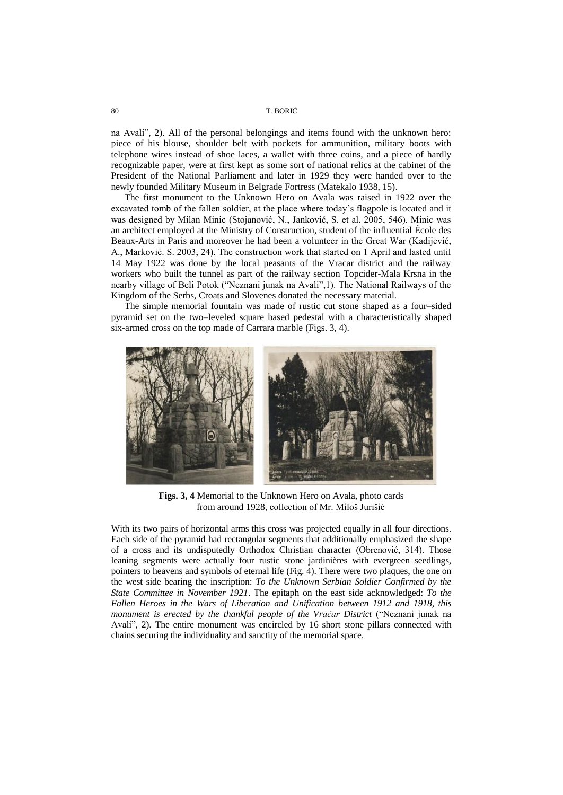na Avali", 2). All of the personal belongings and items found with the unknown hero: piece of his blouse, shoulder belt with pockets for ammunition, military boots with telephone wires instead of shoe laces, a wallet with three coins, and a piece of hardly recognizable paper, were at first kept as some sort of national relics at the cabinet of the President of the National Parliament and later in 1929 they were handed over to the newly founded Military Museum in Belgrade Fortress (Matekalo 1938, 15).

The first monument to the Unknown Hero on Avala was raised in 1922 over the excavated tomb of the fallen soldier, at the place where today"s flagpole is located and it was designed by Milan Minic (Stojanović, N., Janković, S. et al. 2005, 546). Minic was an architect employed at the Ministry of Construction, student of the influential École des Beaux-Arts in Paris and moreover he had been a volunteer in the Great War (Kadijević, A., Marković. S. 2003, 24). The construction work that started on 1 April and lasted until 14 May 1922 was done by the local peasants of the Vracar district and the railway workers who built the tunnel as part of the railway section Topcider-Mala Krsna in the nearby village of Beli Potok ("Neznani junak na Avali",1). The National Railways of the Kingdom of the Serbs, Croats and Slovenes donated the necessary material.

The simple memorial fountain was made of rustic cut stone shaped as a four–sided pyramid set on the two–leveled square based pedestal with a characteristically shaped six-armed cross on the top made of Carrara marble (Figs. 3, 4).



**Figs. 3, 4** Memorial to the Unknown Hero on Avala, photo cards from around 1928, collection of Mr. Miloš Jurišić

With its two pairs of horizontal arms this cross was projected equally in all four directions. Each side of the pyramid had rectangular segments that additionally emphasized the shape of a cross and its undisputedly Orthodox Christian character (Obrenović, 314). Those leaning segments were actually four rustic stone jardinières with evergreen seedlings, pointers to heavens and symbols of eternal life (Fig. 4). There were two plaques, the one on the west side bearing the inscription: *To the Unknown Serbian Soldier Confirmed by the State Committee in November 1921*. The epitaph on the east side acknowledged: *To the Fallen Heroes in the Wars of Liberation and Unification between 1912 and 1918, this monument is erected by the thankful people of the Vračar District* ("Neznani junak na Avali", 2). The entire monument was encircled by 16 short stone pillars connected with chains securing the individuality and sanctity of the memorial space.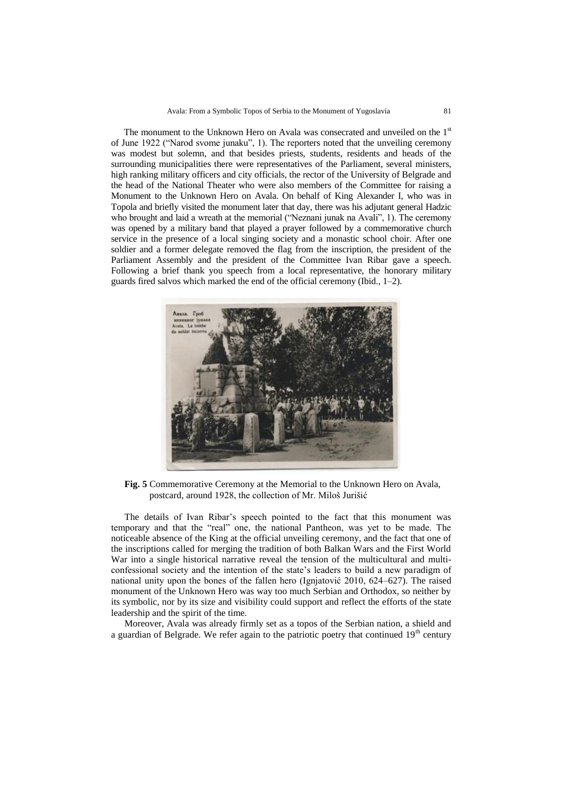The monument to the Unknown Hero on Avala was consecrated and unveiled on the  $1<sup>st</sup>$ of June 1922 ("Narod svome junaku", 1). The reporters noted that the unveiling ceremony was modest but solemn, and that besides priests, students, residents and heads of the surrounding municipalities there were representatives of the Parliament, several ministers, high ranking military officers and city officials, the rector of the University of Belgrade and the head of the National Theater who were also members of the Committee for raising a Monument to the Unknown Hero on Avala. On behalf of King Alexander I, who was in Topola and briefly visited the monument later that day, there was his adjutant general Hadzic who brought and laid a wreath at the memorial ("Neznani junak na Avali", 1). The ceremony was opened by a military band that played a prayer followed by a commemorative church service in the presence of a local singing society and a monastic school choir. After one soldier and a former delegate removed the flag from the inscription, the president of the Parliament Assembly and the president of the Committee Ivan Ribar gave a speech. Following a brief thank you speech from a local representative, the honorary military guards fired salvos which marked the end of the official ceremony (Ibid., 1–2).



**Fig. 5** Commemorative Ceremony at the Memorial to the Unknown Hero on Avala, postcard, around 1928, the collection of Mr. Miloš Jurišić

The details of Ivan Ribar"s speech pointed to the fact that this monument was temporary and that the "real" one, the national Pantheon, was yet to be made. The noticeable absence of the King at the official unveiling ceremony, and the fact that one of the inscriptions called for merging the tradition of both Balkan Wars and the First World War into a single historical narrative reveal the tension of the multicultural and multiconfessional society and the intention of the state"s leaders to build a new paradigm of national unity upon the bones of the fallen hero (Ignjatović 2010, 624–627). The raised monument of the Unknown Hero was way too much Serbian and Orthodox, so neither by its symbolic, nor by its size and visibility could support and reflect the efforts of the state leadership and the spirit of the time.

Moreover, Avala was already firmly set as a topos of the Serbian nation, a shield and a guardian of Belgrade. We refer again to the patriotic poetry that continued  $19<sup>th</sup>$  century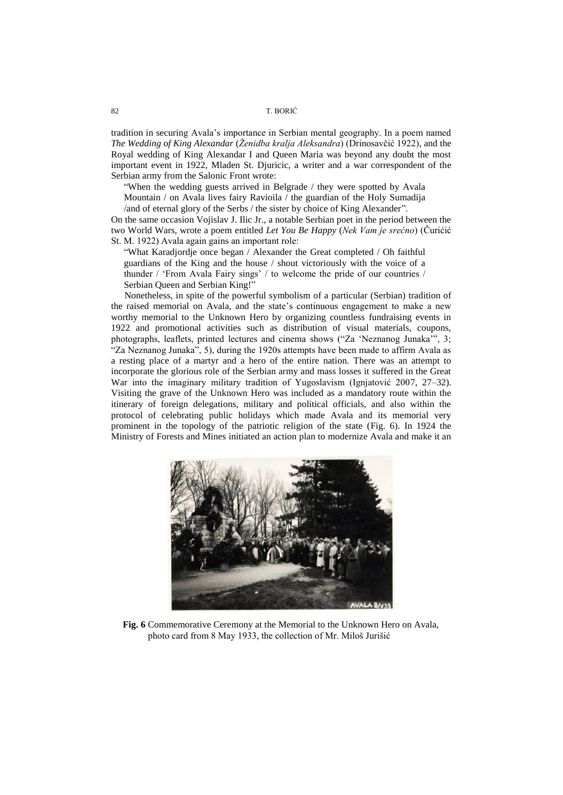tradition in securing Avala"s importance in Serbian mental geography. In a poem named *The Wedding of King Alexandar* (*Ženidba kralja Aleksandra*) (Drinosavĉić 1922), and the Royal wedding of King Alexandar I and Queen Maria was beyond any doubt the most important event in 1922, Mladen St. Djuricic, a writer and a war correspondent of the Serbian army from the Salonic Front wrote:

"When the wedding guests arrived in Belgrade / they were spotted by Avala

Mountain / on Avala lives fairy Ravioila / the guardian of the Holy Sumadija /and of eternal glory of the Serbs / the sister by choice of King Alexander".

On the same occasion Vojislav J. Ilic Jr., a notable Serbian poet in the period between the two World Wars, wrote a poem entitled *Let You Be Happy* (*Nek Vam je srećno*) (Ĉurićić St. М. 1922) Avala again gains an important role:

"What Karadjordje once began / Alexander the Great completed / Oh faithful guardians of the King and the house / shout victoriously with the voice of a thunder / "From Avala Fairy sings" / to welcome the pride of our countries / Serbian Queen and Serbian King!"

Nonetheless, in spite of the powerful symbolism of a particular (Serbian) tradition of the raised memorial on Avala, and the state"s continuous engagement to make а new worthy memorial to the Unknown Hero by organizing countless fundraising events in 1922 and promotional activities such as distribution of visual materials, coupons, photographs, leaflets, printed lectures and cinema shows ("Za "Neznanog Junaka"", 3; "Za Neznanog Junaka", 5), during the 1920s attempts have been made to affirm Avala as a resting place of a martyr and a hero of the entire nation. There was an attempt to incorporate the glorious role of the Serbian army and mass losses it suffered in the Great War into the imaginary military tradition of Yugoslavism (Ignjatović 2007, 27–32). Visiting the grave of the Unknown Hero was included as a mandatory route within the itinerary of foreign delegations, military and political officials, and also within the protocol of celebrating public holidays which made Avala and its memorial very prominent in the topology of the patriotic religion of the state (Fig. 6). In 1924 the Ministry of Forests and Mines initiated an action plan to modernize Avala and make it an



**Fig. 6** Commemorative Ceremony at the Memorial to the Unknown Hero on Avala, photo card from 8 May 1933, the collection of Mr. Miloš Jurišić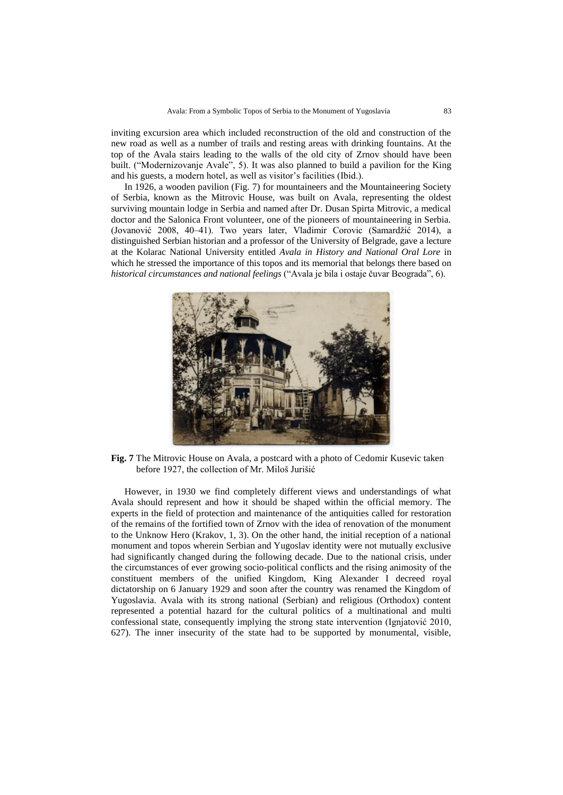inviting excursion area which included reconstruction of the old and construction of the new road as well as a number of trails and resting areas with drinking fountains. At the top of the Avala stairs leading to the walls of the old city of Zrnov should have been built. ("Modernizovanje Avale", 5). It was also planned to build a pavilion for the King and his guests, a modern hotel, as well as visitor's facilities (Ibid.).

In 1926, a wooden pavilion (Fig. 7) for mountaineers and the Mountaineering Society of Serbia, known as the Mitrovic House, was built on Avala, representing the oldest surviving mountain lodge in Serbia and named after Dr. Dusan Spirta Mitrovic, a medical doctor and the Salonica Front volunteer, one of the pioneers of mountaineering in Serbia. (Jovanović 2008, 40–41). Two years later, Vladimir Corovic (Samardžić 2014), a distinguished Serbian historian and a professor of the University of Belgrade, gave a lecture at the Kolarac National University entitled *Avala in History and National Oral Lore* in which he stressed the importance of this topos and its memorial that belongs there based on *historical circumstances and national feelings* ("Avala je bila i ostaje ĉuvar Beograda", 6).



**Fig. 7** The Mitrovic House on Avala, a postcard with a photo of Cedomir Kusevic taken before 1927, the collection of Mr. Miloš Jurišić

However, in 1930 we find completely different views and understandings of what Avala should represent and how it should be shaped within the official memory. The experts in the field of protection and maintenance of the antiquities called for restoration of the remains of the fortified town of Zrnov with the idea of renovation of the monument to the Unknow Hero (Krakov, 1, 3). On the other hand, the initial reception of a national monument and topos wherein Serbian and Yugoslav identity were not mutually exclusive had significantly changed during the following decade. Due to the national crisis, under the circumstances of ever growing socio-political conflicts and the rising animosity of the constituent members of the unified Kingdom, King Alexander I decreed royal dictatorship on 6 January 1929 and soon after the country was renamed the Kingdom of Yugoslavia. Avala with its strong national (Serbian) and religious (Orthodox) content represented a potential hazard for the cultural politics of a multinational and multi confessional state, consequently implying the strong state intervention (Ignjatović 2010, 627). The inner insecurity of the state had to be supported by monumental, visible,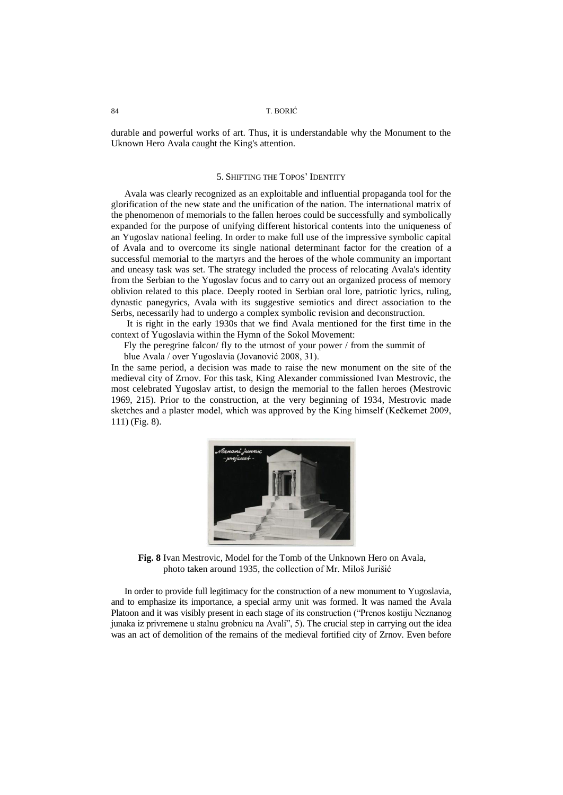durable and powerful works of art. Thus, it is understandable why the Monument to the Uknown Hero Avala caught the King's attention.

## 5. SHIFTING THE TOPOS" IDENTITY

Avala was clearly recognized as an exploitable and influential propaganda tool for the glorification of the new state and the unification of the nation. The international matrix of the phenomenon of memorials to the fallen heroes could be successfully and symbolically expanded for the purpose of unifying different historical contents into the uniqueness of an Yugoslav national feeling. In order to make full use of the impressive symbolic capital of Avala and to overcome its single national determinant factor for the creation of a successful memorial to the martyrs and the heroes of the whole community an important and uneasy task was set. The strategy included the process of relocating Avala's identity from the Serbian to the Yugoslav focus and to carry out an organized process of memory oblivion related to this place. Deeply rooted in Serbian oral lore, patriotic lyrics, ruling, dynastic panegyrics, Avala with its suggestive semiotics and direct association to the Serbs, necessarily had to undergo a complex symbolic revision and deconstruction.

It is right in the early 1930s that we find Avala mentioned for the first time in the context of Yugoslavia within the Hymn of the Sokol Movement:

Fly the peregrine falcon/ fly to the utmost of your power / from the summit of

blue Avala / over Yugoslavia (Jovanović 2008, 31).

In the same period, a decision was made to raise the new monument on the site of the medieval city of Zrnov. For this task, King Alexander commissioned Ivan Mestrovic, the most celebrated Yugoslav artist, to design the memorial to the fallen heroes (Mestrovic 1969, 215). Prior to the construction, at the very beginning of 1934, Mestrovic made sketches and a plaster model, which was approved by the King himself (Keĉkemet 2009, 111) (Fig. 8).



**Fig. 8** Ivan Mestrovic, Model for the Tomb of the Unknown Hero on Avala, photo taken around 1935, the collection of Mr. Miloš Jurišić

In order to provide full legitimacy for the construction of a new monument to Yugoslavia, and to emphasize its importance, a special army unit was formed. It was named the Avala Platoon and it was visibly present in each stage of its construction ("Prenos kostiju Neznanog junaka iz privremene u stalnu grobnicu na Avali", 5). The crucial step in carrying out the idea was an act of demolition of the remains of the medieval fortified city of Zrnov. Even before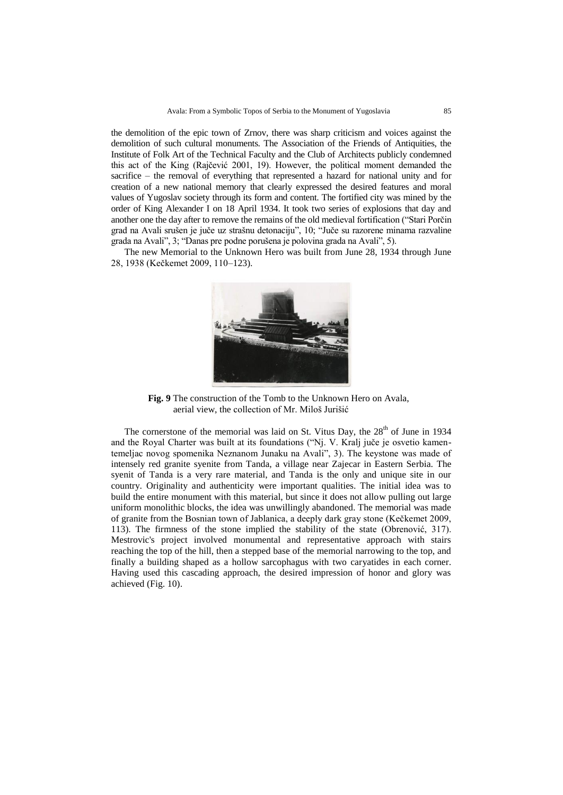the demolition of the epic town of Zrnov, there was sharp criticism and voices against the demolition of such cultural monuments. The Association of the Friends of Antiquities, the Institute of Folk Art of the Technical Faculty and the Club of Architects publicly condemned this act of the King (Rajĉević 2001, 19). However, the political moment demanded the sacrifice – the removal of everything that represented a hazard for national unity and for creation of a new national memory that clearly expressed the desired features and moral values of Yugoslav society through its form and content. The fortified city was mined by the order of King Alexander I on 18 April 1934. It took two series of explosions that day and another one the day after to remove the remains of the old medieval fortification ("Stari Porĉin grad na Avali srušen je juĉe uz strašnu detonaciju", 10; "Juĉe su razorene minama razvaline grada na Avali", 3; "Danas pre podne porušena je polovina grada na Avali", 5).

The new Memorial to the Unknown Hero was built from June 28, 1934 through June 28, 1938 (Keĉkemet 2009, 110–123).



**Fig. 9** The construction of the Tomb to the Unknown Hero on Avala, aerial view, the collection of Mr. Miloš Jurišić

The cornerstone of the memorial was laid on St. Vitus Day, the  $28<sup>th</sup>$  of June in 1934 and the Royal Charter was built at its foundations ("Nj. V. Kralj juĉe je osvetio kamentemeljac novog spomenika Neznanom Junaku na Avali", 3). The keystone was made of intensely red granite syenite from Tanda, a village near Zajecar in Eastern Serbia. The syenit of Tanda is a very rare material, and Tanda is the only and unique site in our country. Originality and authenticity were important qualities. The initial idea was to build the entire monument with this material, but since it does not allow pulling out large uniform monolithic blocks, the idea was unwillingly abandoned. The memorial was made of granite from the Bosnian town of Jablanica, a deeply dark gray stone (Keĉkemet 2009, 113). The firmness of the stone implied the stability of the state (Obrenović, 317). Mestrovic's project involved monumental and representative approach with stairs reaching the top of the hill, then a stepped base of the memorial narrowing to the top, and finally a building shaped as a hollow sarcophagus with two caryatides in each corner. Having used this cascading approach, the desired impression of honor and glory was achieved (Fig. 10).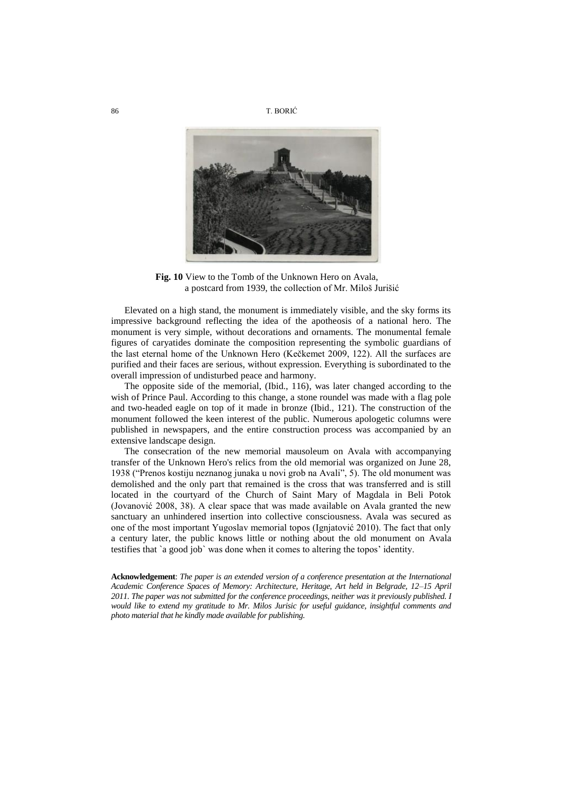

**Fig. 10** View to the Tomb of the Unknown Hero on Avala, a postcard from 1939, the collection of Mr. Miloš Jurišić

Elevated on a high stand, the monument is immediately visible, and the sky forms its impressive background reflecting the idea of the apotheosis of a national hero. The monument is very simple, without decorations and ornaments. The monumental female figures of caryatides dominate the composition representing the symbolic guardians of the last eternal home of the Unknown Hero (Keĉkemet 2009, 122). All the surfaces are purified and their faces are serious, without expression. Everything is subordinated to the overall impression of undisturbed peace and harmony.

The opposite side of the memorial, (Ibid., 116), was later changed according to the wish of Prince Paul. According to this change, a stone roundel was made with a flag pole and two-headed eagle on top of it made in bronze (Ibid., 121). The construction of the monument followed the keen interest of the public. Numerous apologetic columns were published in newspapers, and the entire construction process was accompanied by an extensive landscape design.

The consecration of the new memorial mausoleum on Avala with accompanying transfer of the Unknown Hero's relics from the old memorial was organized on June 28, 1938 ("Prenos kostiju neznanog junaka u novi grob na Avali", 5). The old monument was demolished and the only part that remained is the cross that was transferred and is still located in the courtyard of the Church of Saint Mary of Magdala in Beli Potok (Jovanović 2008, 38). A clear space that was made available on Avala granted the new sanctuary an unhindered insertion into collective consciousness. Avala was secured as one of the most important Yugoslav memorial topos (Ignjatović 2010). The fact that only a century later, the public knows little or nothing about the old monument on Avala testifies that `a good job` was done when it comes to altering the topos' identity.

**Acknowledgement**: *The paper is an extended version of a conference presentation at the International Academic Conference Spaces of Memory: Architecture, Heritage, Art held in Belgrade, 12–15 April 2011. The paper was not submitted for the conference proceedings, neither was it previously published. I would like to extend my gratitude to Mr. Milos Jurisic for useful guidance, insightful comments and photo material that he kindly made available for publishing.*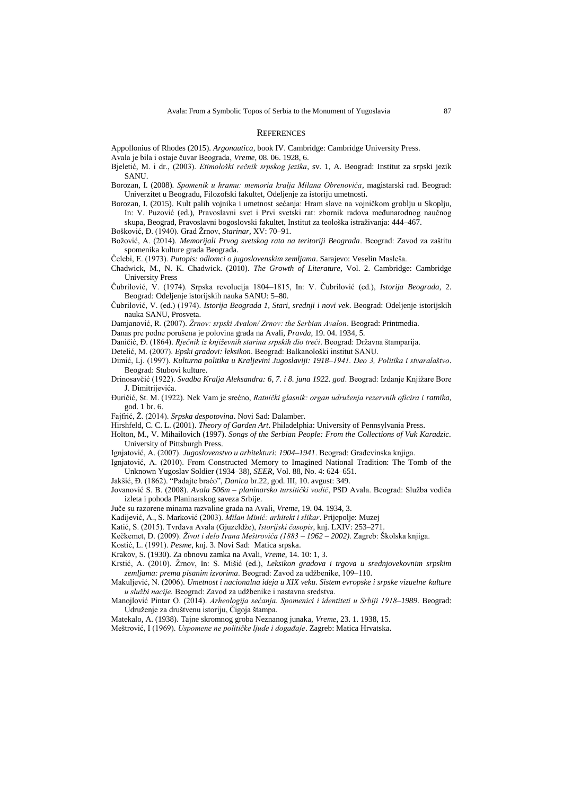#### **REFERENCES**

Appollonius of Rhodes (2015). *Argonautica*, book IV. Cambridge: Cambridge University Press.

Avala je bila i ostaje ĉuvar Beograda, *Vreme*, 08. 06. 1928, 6.

Bjeletić, M. i dr., (2003). *Etimološki rečnik srpskog jezika*, sv. 1, A. Beograd: Institut za srpski jezik **SANU** 

- Borozan, I. (2008). *Spomenik u hramu: memoria kralja Milana Obrenovića*, magistarski rad. Beograd: Univerzitet u Beogradu, Filozofski fakultet, Odeljenje za istoriju umetnosti.
- Borozan, I. (2015). Kult palih vojnika i umetnost sećanja: Hram slave na vojniĉkom groblju u Skoplju, In: V. Puzović (ed.), Pravoslavni svet i Prvi svetski rat: zbornik radova međunarodnog naučnog skupa, Beograd, Pravoslavni bogoslovski fakultet, Institut za teološka istraživanja: 444-467.

Bošković, Đ. (1940). Grad Žrnov, *Starinar*, XV: 70-91.

- Boţović, A. (2014). *Memorijali Prvog svetskog rata na teritoriji Beograda*. Beograd: Zavod za zaštitu spomenika kulture grada Beograda.
- Ĉelebi, E. (1973). *Putopis: odlomci o jugoslovenskim zemljama*. Sarajevo: Veselin Masleša.
- Chadwick, M., N. K. Chadwick. (2010). *The Growth of Literature*, Vol. 2. Cambridge: Cambridge University Press

Ĉubrilović, V. (1974). Srpska revolucija 1804–1815, In: V. Ĉubrilović (ed.), *Istorija Beograda*, 2. Beograd: Odeljenje istorijskih nauka SANU: 5–80.

Ĉubrilović, V. (ed.) (1974). *Istorija Beograda 1, Stari, srednji i novi vek*. Beograd: Odeljenje istorijskih nauka SANU, Prosveta.

Damjanović, R. (2007). *Žrnov: srpski Avalon/ Zrnov: the Serbian Avalon*. Beograd: Printmedia.

Danas pre podne porušena je polovina grada na Avali, *Pravda*, 19. 04. 1934, 5.

Daničić, Đ. (1864). *Rječnik iz književnih starina srpskih dio treći*. Beograd: Državna štamparija.

Detelić, M. (2007). *Epski gradovi: leksikon*. Beograd: Balkanološki institut SANU.

- Dimić, Lj. (1997). *Kulturna politika u Kraljevini Jugoslaviji: 1918–1941. Deo 3, Politika i stvaralaštvo*. Beograd: Stubovi kulture.
- Drinosavčić (1922). *Svadba Kralja Aleksandra: 6, 7. i 8. juna 1922. god.* Beograd: Izdanje Knjižare Bore J. Dimitrijevića.
- Đuriĉić, St. M. (1922). Nek Vam je srećno, *Ratnički glasnik: organ udruženja rezervnih oficira i ratnika,*  god. 1 br. 6.

Fajfrić, Ž. (2014). *Srpska despotovina*. Novi Sad: Dalamber.

- Hirshfeld, C. C. L. (2001). *Theory of Garden Art*. Philadelphia: University of Pennsylvania Press.
- Holton, M., V. Mihailovich (1997). *Songs of the Serbian People: From the Collections of Vuk Karadzic.*  University of Pittsburgh Press.

Ignjatović, A. (2007). *Jugoslovenstvo u arhitekturi: 1904–1941*. Beograd: Građevinska knjiga.

Ignjatović, A. (2010). From Constructed Memory to Imagined National Tradition: The Tomb of the Unknown Yugoslav Soldier (1934–38), *SEER*, Vol. 88, No. 4: 624–651.

Jakšić, Đ. (1862). "Padajte braćo", *Danica* br.22, god. III, 10. avgust: 349.

Jovanović S. B. (2008). *Avala 506m – planinarsko tursitički vodič*, PSD Avala. Beograd: Služba vodiča izleta i pohoda Planinarskog saveza Srbije.

Juĉe su razorene minama razvaline grada na Avali, *Vreme*, 19. 04. 1934, 3.

Kadijević, A., S. Marković (2003). *Milan Minić: arhitekt i slikar*. Prijepolje: Muzej

Katić, S. (2015). Tvrđava Avala (Gjuzeldže), *Istorijski časopis*, knj. LXIV: 253-271.

Keĉkemet, D. (2009). *Život i delo Ivana Meštrovića (1883 – 1962 – 2002)*. Zagreb: Školska knjiga.

Kostić, L. (1991). *Pesme*, knj. 3. Novi Sad: Matica srpska.

Krakov, S. (1930). Za obnovu zamka na Avali, *Vreme*, 14. 10: 1, 3.

Krstić, A. (2010). Žrnov, In: S. Mišić (ed.), *Leksikon gradova i trgova u srednjovekovnim srpskim* zemljama: prema pisanim izvorima. Beograd: Zavod za udžbenike, 109–110.

Makuljević, N. (2006). *Umetnost i nacionalna ideja u XIX veku. Sistem evropske i srpske vizuelne kulture u službi nacije.* Beograd: Zavod za udžbenike i nastavna sredstva.

Manojlović Pintar O. (2014). *Arheologija sećanja. Spomenici i identiteti u Srbiji 1918–1989*. Beograd: Udruženje za društvenu istoriju, Čigoja štampa.

Matekalo, A. (1938). Tajne skromnog groba Neznanog junaka, *Vreme*, 23. 1. 1938, 15.

Meštrović, I (1969). *Uspomene ne političke ljude i događaje*. Zagreb: Matica Hrvatska.